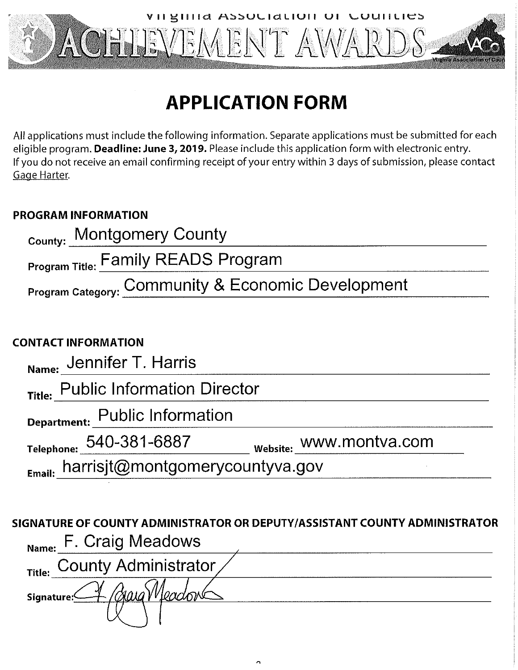

# **APPLICATION FORM**

All applications must include the following information. Separate applications must be submitted for each eligible program. Deadline: June 3, 2019. Please include this application form with electronic entry. If you do not receive an email confirming receipt of your entry within 3 days of submission, please contact Gage Harter.

### **PROGRAM INFORMATION**

| County: Montgomery County                          |  |  |  |  |
|----------------------------------------------------|--|--|--|--|
| <b>Program Title: Family READS Program</b>         |  |  |  |  |
| Program Category: Community & Economic Development |  |  |  |  |
|                                                    |  |  |  |  |
| ONTACT INFORMATION                                 |  |  |  |  |
| Name: Jennifer T. Harris                           |  |  |  |  |
| Title: Public Information Director                 |  |  |  |  |
| Public Information                                 |  |  |  |  |

## $C($

| <sub>Name:</sub> Jennifer T. Harris |                         |
|-------------------------------------|-------------------------|
| Title: Public Information Director  |                         |
| Department: Public Information      |                         |
| Telephone: 540–381–6887             | website: WWW.montva.com |
|                                     |                         |

Email: harrisjt@montgomerycountyva.gov

## SIGNATURE OF COUNTY ADMINISTRATOR OR DEPUTY/ASSISTANT COUNTY ADMINISTRATOR Name: F. Craig Meadows Title: County Administrator awa Meador **Signature:**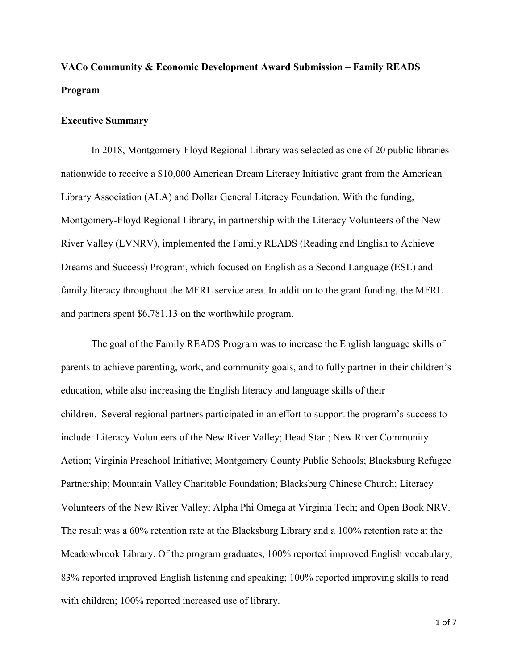### **VACo Community & Economic Development Award Submission – Family READS Program**

#### **Executive Summary**

In 2018, Montgomery-Floyd Regional Library was selected as one of 20 public libraries nationwide to receive a \$10,000 American Dream Literacy Initiative grant from the American Library Association (ALA) and Dollar General Literacy Foundation. With the funding, Montgomery-Floyd Regional Library, in partnership with the Literacy Volunteers of the New River Valley (LVNRV), implemented the Family READS (Reading and English to Achieve Dreams and Success) Program, which focused on English as a Second Language (ESL) and family literacy throughout the MFRL service area. In addition to the grant funding, the MFRL and partners spent \$6,781.13 on the worthwhile program.

The goal of the Family READS Program was to increase the English language skills of parents to achieve parenting, work, and community goals, and to fully partner in their children's education, while also increasing the English literacy and language skills of their children. Several regional partners participated in an effort to support the program's success to include: Literacy Volunteers of the New River Valley; Head Start; New River Community Action; Virginia Preschool Initiative; Montgomery County Public Schools; Blacksburg Refugee Partnership; Mountain Valley Charitable Foundation; Blacksburg Chinese Church; Literacy Volunteers of the New River Valley; Alpha Phi Omega at Virginia Tech; and Open Book NRV. The result was a 60% retention rate at the Blacksburg Library and a 100% retention rate at the Meadowbrook Library. Of the program graduates, 100% reported improved English vocabulary; 83% reported improved English listening and speaking; 100% reported improving skills to read with children; 100% reported increased use of library.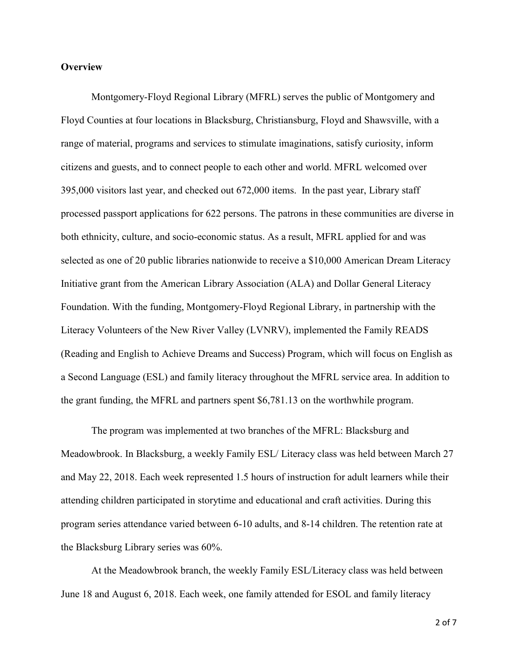#### **Overview**

Montgomery-Floyd Regional Library (MFRL) serves the public of Montgomery and Floyd Counties at four locations in Blacksburg, Christiansburg, Floyd and Shawsville, with a range of material, programs and services to stimulate imaginations, satisfy curiosity, inform citizens and guests, and to connect people to each other and world. MFRL welcomed over 395,000 visitors last year, and checked out 672,000 items. In the past year, Library staff processed passport applications for 622 persons. The patrons in these communities are diverse in both ethnicity, culture, and socio-economic status. As a result, MFRL applied for and was selected as one of 20 public libraries nationwide to receive a \$10,000 American Dream Literacy Initiative grant from the American Library Association (ALA) and Dollar General Literacy Foundation. With the funding, Montgomery-Floyd Regional Library, in partnership with the Literacy Volunteers of the New River Valley (LVNRV), implemented the Family READS (Reading and English to Achieve Dreams and Success) Program, which will focus on English as a Second Language (ESL) and family literacy throughout the MFRL service area. In addition to the grant funding, the MFRL and partners spent \$6,781.13 on the worthwhile program.

The program was implemented at two branches of the MFRL: Blacksburg and Meadowbrook. In Blacksburg, a weekly Family ESL/ Literacy class was held between March 27 and May 22, 2018. Each week represented 1.5 hours of instruction for adult learners while their attending children participated in storytime and educational and craft activities. During this program series attendance varied between 6-10 adults, and 8-14 children. The retention rate at the Blacksburg Library series was 60%.

At the Meadowbrook branch, the weekly Family ESL/Literacy class was held between June 18 and August 6, 2018. Each week, one family attended for ESOL and family literacy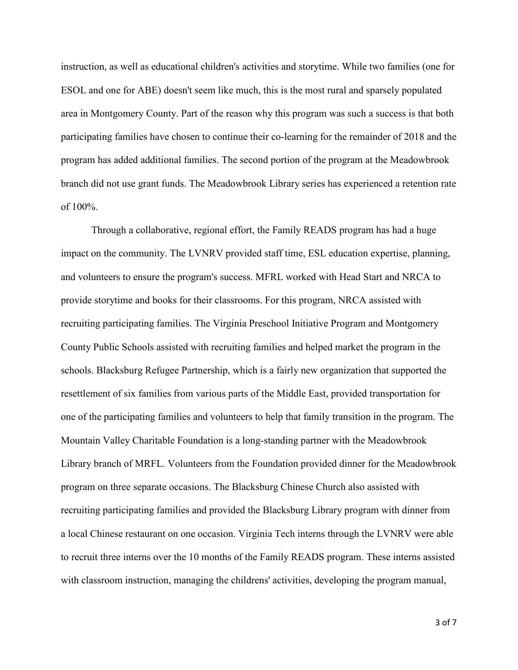instruction, as well as educational children's activities and storytime. While two families (one for ESOL and one for ABE) doesn't seem like much, this is the most rural and sparsely populated area in Montgomery County. Part of the reason why this program was such a success is that both participating families have chosen to continue their co-learning for the remainder of 2018 and the program has added additional families. The second portion of the program at the Meadowbrook branch did not use grant funds. The Meadowbrook Library series has experienced a retention rate of 100%.

Through a collaborative, regional effort, the Family READS program has had a huge impact on the community. The LVNRV provided staff time, ESL education expertise, planning, and volunteers to ensure the program's success. MFRL worked with Head Start and NRCA to provide storytime and books for their classrooms. For this program, NRCA assisted with recruiting participating families. The Virginia Preschool Initiative Program and Montgomery County Public Schools assisted with recruiting families and helped market the program in the schools. Blacksburg Refugee Partnership, which is a fairly new organization that supported the resettlement of six families from various parts of the Middle East, provided transportation for one of the participating families and volunteers to help that family transition in the program. The Mountain Valley Charitable Foundation is a long-standing partner with the Meadowbrook Library branch of MRFL. Volunteers from the Foundation provided dinner for the Meadowbrook program on three separate occasions. The Blacksburg Chinese Church also assisted with recruiting participating families and provided the Blacksburg Library program with dinner from a local Chinese restaurant on one occasion. Virginia Tech interns through the LVNRV were able to recruit three interns over the 10 months of the Family READS program. These interns assisted with classroom instruction, managing the childrens' activities, developing the program manual,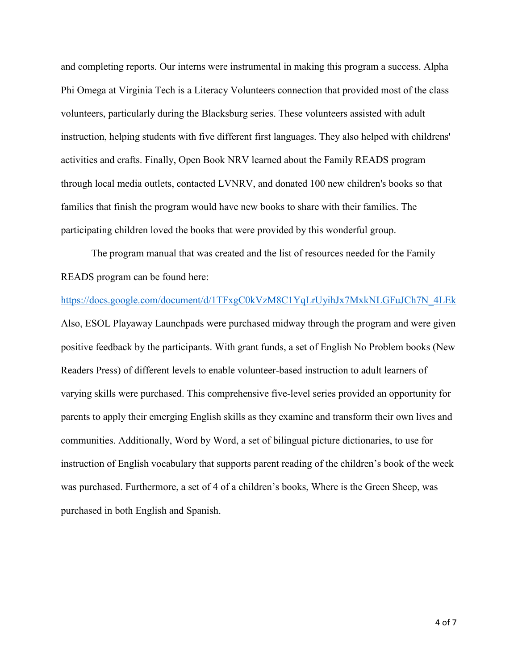and completing reports. Our interns were instrumental in making this program a success. Alpha Phi Omega at Virginia Tech is a Literacy Volunteers connection that provided most of the class volunteers, particularly during the Blacksburg series. These volunteers assisted with adult instruction, helping students with five different first languages. They also helped with childrens' activities and crafts. Finally, Open Book NRV learned about the Family READS program through local media outlets, contacted LVNRV, and donated 100 new children's books so that families that finish the program would have new books to share with their families. The participating children loved the books that were provided by this wonderful group.

The program manual that was created and the list of resources needed for the Family READS program can be found here:

[https://docs.google.com/document/d/1TFxgC0kVzM8C1YqLrUyihJx7MxkNLGFuJCh7N\\_4LEk](https://docs.google.com/document/d/1TFxgC0-kVzM8C1YqLrUyihJx7MxkNLGFuJCh7N_4LEk) Also, ESOL Playaway Launchpads were purchased midway through the program and were given positive feedback by the participants. With grant funds, a set of English No Problem books (New Readers Press) of different levels to enable volunteer-based instruction to adult learners of varying skills were purchased. This comprehensive five-level series provided an opportunity for parents to apply their emerging English skills as they examine and transform their own lives and communities. Additionally, Word by Word, a set of bilingual picture dictionaries, to use for instruction of English vocabulary that supports parent reading of the children's book of the week was purchased. Furthermore, a set of 4 of a children's books, Where is the Green Sheep, was purchased in both English and Spanish.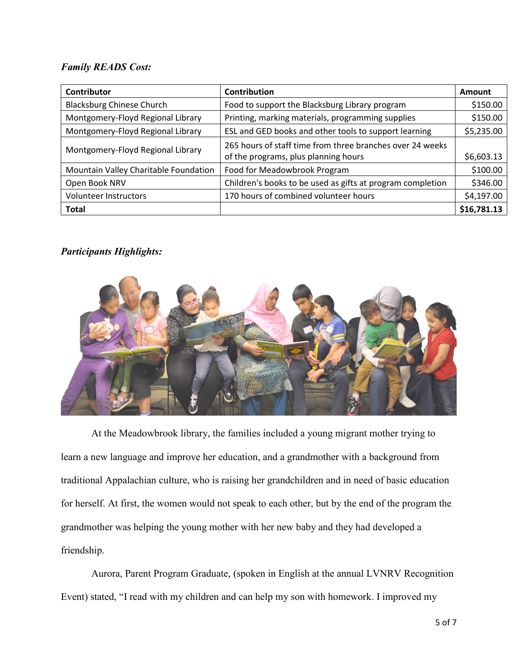#### *Family READS Cost:*

| Contributor                           | Contribution                                                                                      | Amount      |
|---------------------------------------|---------------------------------------------------------------------------------------------------|-------------|
| <b>Blacksburg Chinese Church</b>      | Food to support the Blacksburg Library program                                                    | \$150.00    |
| Montgomery-Floyd Regional Library     | Printing, marking materials, programming supplies                                                 | \$150.00    |
| Montgomery-Floyd Regional Library     | ESL and GED books and other tools to support learning                                             | \$5,235.00  |
| Montgomery-Floyd Regional Library     | 265 hours of staff time from three branches over 24 weeks<br>of the programs, plus planning hours | \$6,603.13  |
| Mountain Valley Charitable Foundation | Food for Meadowbrook Program                                                                      | \$100.00    |
| Open Book NRV                         | Children's books to be used as gifts at program completion                                        | \$346.00    |
| Volunteer Instructors                 | 170 hours of combined volunteer hours                                                             | \$4,197.00  |
| <b>Total</b>                          |                                                                                                   | \$16,781.13 |

#### *Participants Highlights:*



At the Meadowbrook library, the families included a young migrant mother trying to learn a new language and improve her education, and a grandmother with a background from traditional Appalachian culture, who is raising her grandchildren and in need of basic education for herself. At first, the women would not speak to each other, but by the end of the program the grandmother was helping the young mother with her new baby and they had developed a friendship.

Aurora, Parent Program Graduate, (spoken in English at the annual LVNRV Recognition Event) stated, "I read with my children and can help my son with homework. I improved my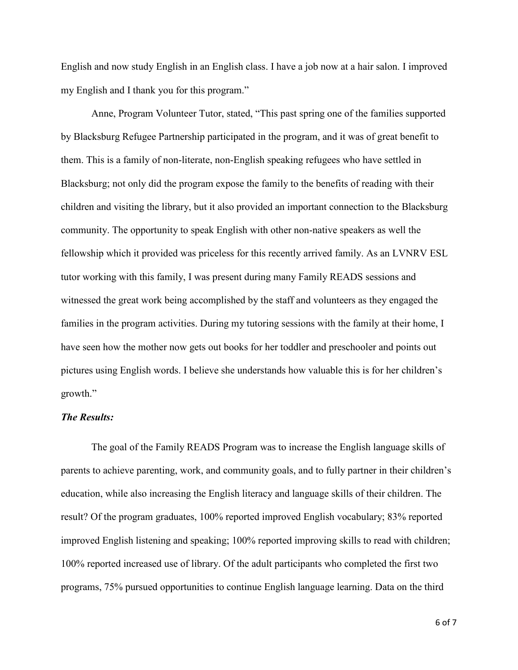English and now study English in an English class. I have a job now at a hair salon. I improved my English and I thank you for this program."

Anne, Program Volunteer Tutor, stated, "This past spring one of the families supported by Blacksburg Refugee Partnership participated in the program, and it was of great benefit to them. This is a family of non-literate, non-English speaking refugees who have settled in Blacksburg; not only did the program expose the family to the benefits of reading with their children and visiting the library, but it also provided an important connection to the Blacksburg community. The opportunity to speak English with other non-native speakers as well the fellowship which it provided was priceless for this recently arrived family. As an LVNRV ESL tutor working with this family, I was present during many Family READS sessions and witnessed the great work being accomplished by the staff and volunteers as they engaged the families in the program activities. During my tutoring sessions with the family at their home, I have seen how the mother now gets out books for her toddler and preschooler and points out pictures using English words. I believe she understands how valuable this is for her children's growth."

#### *The Results:*

The goal of the Family READS Program was to increase the English language skills of parents to achieve parenting, work, and community goals, and to fully partner in their children's education, while also increasing the English literacy and language skills of their children. The result? Of the program graduates, 100% reported improved English vocabulary; 83% reported improved English listening and speaking; 100% reported improving skills to read with children; 100% reported increased use of library. Of the adult participants who completed the first two programs, 75% pursued opportunities to continue English language learning. Data on the third